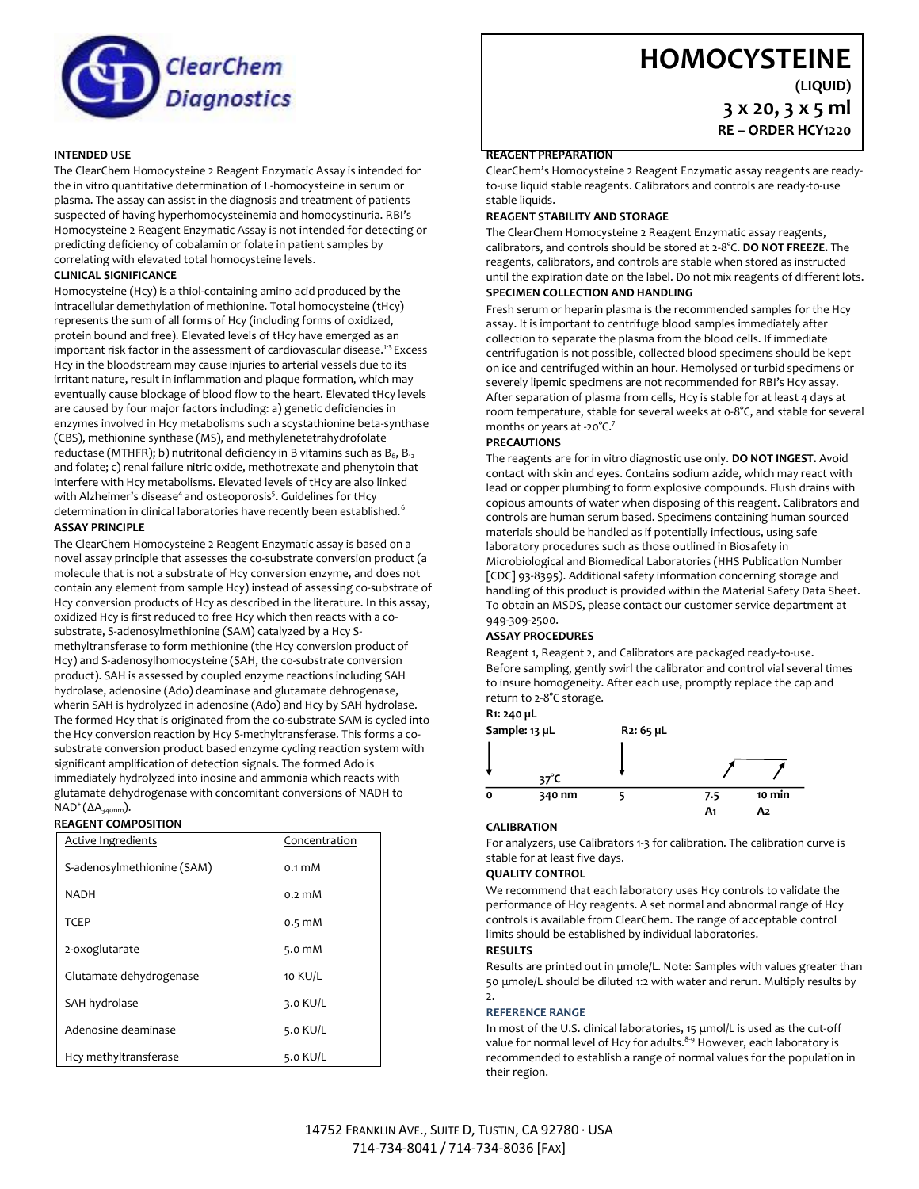

# **HOMOCYSTEINE**

**(LIQUID)**

**3 x 20, 3 x 5 ml RE – ORDER HCY1220**

## **INTENDED USE**

The ClearChem Homocysteine 2 Reagent Enzymatic Assay is intended for the in vitro quantitative determination of L-homocysteine in serum or plasma. The assay can assist in the diagnosis and treatment of patients suspected of having hyperhomocysteinemia and homocystinuria. RBI's Homocysteine 2 Reagent Enzymatic Assay is not intended for detecting or predicting deficiency of cobalamin or folate in patient samples by correlating with elevated total homocysteine levels.

## **CLINICAL SIGNIFICANCE**

Homocysteine (Hcy) is a thiol-containing amino acid produced by the intracellular demethylation of methionine. Total homocysteine (tHcy) represents the sum of all forms of Hcy (including forms of oxidized, protein bound and free). Elevated levels of tHcy have emerged as an important risk factor in the assessment of cardiovascular disease.<sup>1-3</sup> Excess Hcy in the bloodstream may cause injuries to arterial vessels due to its irritant nature, result in inflammation and plaque formation, which may eventually cause blockage of blood flow to the heart. Elevated tHcy levels are caused by four major factors including: a) genetic deficiencies in enzymes involved in Hcy metabolisms such a scystathionine beta-synthase (CBS), methionine synthase (MS), and methylenetetrahydrofolate reductase (MTHFR); b) nutritonal deficiency in B vitamins such as  $B_6$ ,  $B_{12}$ and folate; c) renal failure nitric oxide, methotrexate and phenytoin that interfere with Hcy metabolisms. Elevated levels of tHcy are also linked with Alzheimer's disease<sup>4</sup> and osteoporosis<sup>5</sup>. Guidelines for tHcy determination in clinical laboratories have recently been established.<sup>6</sup> **ASSAY PRINCIPLE**

The ClearChem Homocysteine 2 Reagent Enzymatic assay is based on a novel assay principle that assesses the co-substrate conversion product (a molecule that is not a substrate of Hcy conversion enzyme, and does not contain any element from sample Hcy) instead of assessing co-substrate of Hcy conversion products of Hcy as described in the literature. In this assay, oxidized Hcy is first reduced to free Hcy which then reacts with a cosubstrate, S-adenosylmethionine (SAM) catalyzed by a Hcy Smethyltransferase to form methionine (the Hcy conversion product of Hcy) and S-adenosylhomocysteine (SAH, the co-substrate conversion product). SAH is assessed by coupled enzyme reactions including SAH hydrolase, adenosine (Ado) deaminase and glutamate dehrogenase, wherin SAH is hydrolyzed in adenosine (Ado) and Hcy by SAH hydrolase. The formed Hcy that is originated from the co-substrate SAM is cycled into the Hcy conversion reaction by Hcy S-methyltransferase. This forms a cosubstrate conversion product based enzyme cycling reaction system with significant amplification of detection signals. The formed Ado is immediately hydrolyzed into inosine and ammonia which reacts with glutamate dehydrogenase with concomitant conversions of NADH to NAD<sup>+</sup> (ΔA<sub>340nm</sub>).

## **REAGENT COMPOSITION**

| <b>Active Ingredients</b>  | Concentration    |
|----------------------------|------------------|
| S-adenosylmethionine (SAM) | $0.1 \text{ mM}$ |
| <b>NADH</b>                | $0.2 \text{ mM}$ |
| <b>TCEP</b>                | $0.5 \text{ mM}$ |
| 2-oxoglutarate             | 5.0 $mM$         |
| Glutamate dehydrogenase    | 10 KU/L          |
| SAH hydrolase              | 3.0 KU/L         |
| Adenosine deaminase        | 5.0 KU/L         |
| Hcy methyltransferase      | 5.0 $KU/L$       |

## **REAGENT PREPARATION**

ClearChem's Homocysteine 2 Reagent Enzymatic assay reagents are readyto-use liquid stable reagents. Calibrators and controls are ready-to-use stable liquids.

## **REAGENT STABILITY AND STORAGE**

The ClearChem Homocysteine 2 Reagent Enzymatic assay reagents, calibrators, and controls should be stored at 2-8°C. **DO NOT FREEZE.** The reagents, calibrators, and controls are stable when stored as instructed until the expiration date on the label. Do not mix reagents of different lots.

#### **SPECIMEN COLLECTION AND HANDLING**

Fresh serum or heparin plasma is the recommended samples for the Hcy assay. It is important to centrifuge blood samples immediately after collection to separate the plasma from the blood cells. If immediate centrifugation is not possible, collected blood specimens should be kept on ice and centrifuged within an hour. Hemolysed or turbid specimens or severely lipemic specimens are not recommended for RBI's Hcy assay. After separation of plasma from cells, Hcy is stable for at least 4 days at room temperature, stable for several weeks at 0-8°C, and stable for several months or years at -20°C.<sup>7</sup>

## **PRECAUTIONS**

The reagents are for in vitro diagnostic use only. **DO NOT INGEST.** Avoid contact with skin and eyes. Contains sodium azide, which may react with lead or copper plumbing to form explosive compounds. Flush drains with copious amounts of water when disposing of this reagent. Calibrators and controls are human serum based. Specimens containing human sourced materials should be handled as if potentially infectious, using safe laboratory procedures such as those outlined in Biosafety in Microbiological and Biomedical Laboratories (HHS Publication Number [CDC] 93-8395). Additional safety information concerning storage and handling of this product is provided within the Material Safety Data Sheet. To obtain an MSDS, please contact our customer service department at 949-309-2500.

#### **ASSAY PROCEDURES**

Reagent 1, Reagent 2, and Calibrators are packaged ready-to-use. Before sampling, gently swirl the calibrator and control vial several times to insure homogeneity. After each use, promptly replace the cap and return to 2-8°C storage.

## **R1: 240 µL**



#### **CALIBRATION**

For analyzers, use Calibrators 1-3 for calibration. The calibration curve is stable for at least five days.

#### **QUALITY CONTROL**

We recommend that each laboratory uses Hcy controls to validate the performance of Hcy reagents. A set normal and abnormal range of Hcy controls is available from ClearChem. The range of acceptable control limits should be established by individual laboratories.

#### **RESULTS**

Results are printed out in μmole/L. Note: Samples with values greater than 50 μmole/L should be diluted 1:2 with water and rerun. Multiply results by  $\overline{2}$ .

#### **REFERENCE RANGE**

In most of the U.S. clinical laboratories, 15 μmol/L is used as the cut-off value for normal level of Hcy for adults.<sup>8-9</sup> However, each laboratory is recommended to establish a range of normal values for the population in their region.